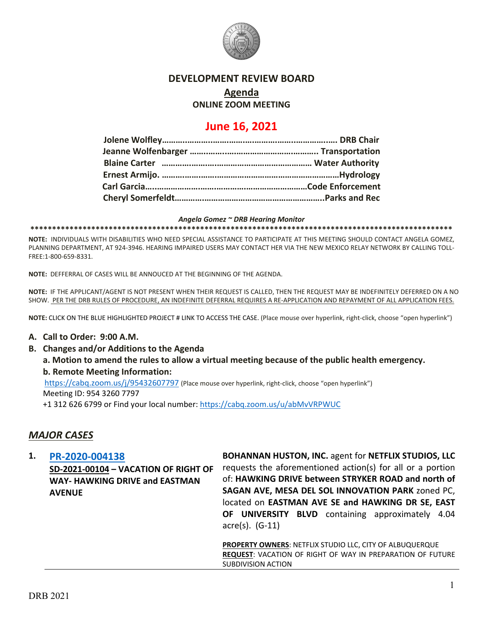

## **DEVELOPMENT REVIEW BOARD**

# **Agenda**

## **ONLINE ZOOM MEETING**

# **June 16, 2021**

#### *Angela Gomez ~ DRB Hearing Monitor*

**\*\*\*\*\*\*\*\*\*\*\*\*\*\*\*\*\*\*\*\*\*\*\*\*\*\*\*\*\*\*\*\*\*\*\*\*\*\*\*\*\*\*\*\*\*\*\*\*\*\*\*\*\*\*\*\*\*\*\*\*\*\*\*\*\*\*\*\*\*\*\*\*\*\*\*\*\*\*\*\*\*\*\*\*\*\*\*\*\*\*\*\*\*\*\*\*\***

**NOTE:** INDIVIDUALS WITH DISABILITIES WHO NEED SPECIAL ASSISTANCE TO PARTICIPATE AT THIS MEETING SHOULD CONTACT ANGELA GOMEZ, PLANNING DEPARTMENT, AT 924-3946. HEARING IMPAIRED USERS MAY CONTACT HER VIA THE NEW MEXICO RELAY NETWORK BY CALLING TOLL-FREE:1-800-659-8331.

**NOTE:** DEFFERRAL OF CASES WILL BE ANNOUCED AT THE BEGINNING OF THE AGENDA.

**NOTE:** IF THE APPLICANT/AGENT IS NOT PRESENT WHEN THEIR REQUEST IS CALLED, THEN THE REQUEST MAY BE INDEFINITELY DEFERRED ON A NO SHOW. PER THE DRB RULES OF PROCEDURE, AN INDEFINITE DEFERRAL REQUIRES A RE-APPLICATION AND REPAYMENT OF ALL APPLICATION FEES.

**NOTE:** CLICK ON THE BLUE HIGHLIGHTED PROJECT # LINK TO ACCESS THE CASE. (Place mouse over hyperlink, right-click, choose "open hyperlink")

### **A. Call to Order: 9:00 A.M.**

**B. Changes and/or Additions to the Agenda**

**a. Motion to amend the rules to allow a virtual meeting because of the public health emergency. b. Remote Meeting Information:** 

<https://cabq.zoom.us/j/95432607797> (Place mouse over hyperlink, right-click, choose "open hyperlink") Meeting ID: 954 3260 7797

+1 312 626 6799 or Find your local number[: https://cabq.zoom.us/u/abMvVRPWUC](https://cabq.zoom.us/u/abMvVRPWUC)

## *MAJOR CASES*

**1. [PR-2020-004138](http://data.cabq.gov/government/planning/DRB/PR-2020-004138/DRB%20Submittals/PR-2020-004138_June%2016_2021%20(VRW%20-%20Netflix)/Application/VacationofROW_SubmittalPackage-signed.pdf) SD-2021-00104 – VACATION OF RIGHT OF WAY- HAWKING DRIVE and EASTMAN AVENUE BOHANNAN HUSTON, INC.** agent for **NETFLIX STUDIOS, LLC** requests the aforementioned action(s) for all or a portion of: **HAWKING DRIVE between STRYKER ROAD and north of SAGAN AVE, MESA DEL SOL INNOVATION PARK** zoned PC, located on **EASTMAN AVE SE and HAWKING DR SE, EAST OF UNIVERSITY BLVD** containing approximately 4.04 acre(s). (G-11) **PROPERTY OWNERS**: NETFLIX STUDIO LLC, CITY OF ALBUQUERQUE **REQUEST**: VACATION OF RIGHT OF WAY IN PREPARATION OF FUTURE

SUBDIVISION ACTION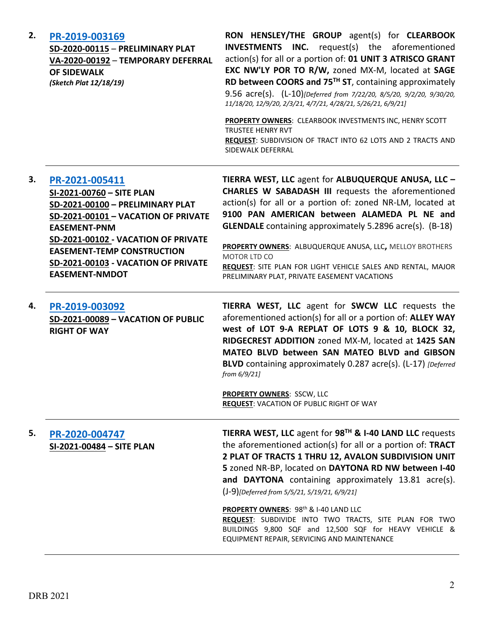| 2. | PR-2019-003169<br>SD-2020-00115 - PRELIMINARY PLAT<br>VA-2020-00192 - TEMPORARY DEFERRAL<br><b>OF SIDEWALK</b><br>(Sketch Plat 12/18/19)                                                                                                                                                  | RON HENSLEY/THE GROUP agent(s) for CLEARBOOK<br><b>INVESTMENTS INC.</b><br>request(s) the aforementioned<br>action(s) for all or a portion of: 01 UNIT 3 ATRISCO GRANT<br>EXC NW'LY POR TO R/W, zoned MX-M, located at SAGE<br>RD between COORS and 75 <sup>TH</sup> ST, containing approximately<br>9.56 acre(s). (L-10)[Deferred from 7/22/20, 8/5/20, 9/2/20, 9/30/20,<br>11/18/20, 12/9/20, 2/3/21, 4/7/21, 4/28/21, 5/26/21, 6/9/21]<br>PROPERTY OWNERS: CLEARBOOK INVESTMENTS INC, HENRY SCOTT<br><b>TRUSTEE HENRY RVT</b><br>REQUEST: SUBDIVISION OF TRACT INTO 62 LOTS AND 2 TRACTS AND<br>SIDEWALK DEFERRAL |
|----|-------------------------------------------------------------------------------------------------------------------------------------------------------------------------------------------------------------------------------------------------------------------------------------------|----------------------------------------------------------------------------------------------------------------------------------------------------------------------------------------------------------------------------------------------------------------------------------------------------------------------------------------------------------------------------------------------------------------------------------------------------------------------------------------------------------------------------------------------------------------------------------------------------------------------|
| З. | PR-2021-005411<br>SI-2021-00760 - SITE PLAN<br>SD-2021-00100 - PRELIMINARY PLAT<br>SD-2021-00101 - VACATION OF PRIVATE<br><b>EASEMENT-PNM</b><br>SD-2021-00102 - VACATION OF PRIVATE<br><b>EASEMENT-TEMP CONSTRUCTION</b><br>SD-2021-00103 - VACATION OF PRIVATE<br><b>EASEMENT-NMDOT</b> | TIERRA WEST, LLC agent for ALBUQUERQUE ANUSA, LLC -<br><b>CHARLES W SABADASH III</b> requests the aforementioned<br>action(s) for all or a portion of: zoned NR-LM, located at<br>9100 PAN AMERICAN between ALAMEDA PL NE and<br><b>GLENDALE</b> containing approximately 5.2896 acre(s). (B-18)<br>PROPERTY OWNERS: ALBUQUERQUE ANUSA, LLC, MELLOY BROTHERS<br><b>MOTOR LTD CO</b><br>REQUEST: SITE PLAN FOR LIGHT VEHICLE SALES AND RENTAL, MAJOR<br>PRELIMINARY PLAT, PRIVATE EASEMENT VACATIONS                                                                                                                  |
| 4. | PR-2019-003092<br>SD-2021-00089 - VACATION OF PUBLIC<br><b>RIGHT OF WAY</b>                                                                                                                                                                                                               | TIERRA WEST, LLC agent for SWCW LLC requests the<br>aforementioned action(s) for all or a portion of: ALLEY WAY<br>west of LOT 9-A REPLAT OF LOTS 9 & 10, BLOCK 32,<br>RIDGECREST ADDITION zoned MX-M, located at 1425 SAN<br>MATEO BLVD between SAN MATEO BLVD and GIBSON<br><b>BLVD</b> containing approximately 0.287 acre(s). (L-17) [Deferred]<br>from 6/9/21]<br><b>PROPERTY OWNERS: SSCW, LLC</b><br><b>REQUEST: VACATION OF PUBLIC RIGHT OF WAY</b>                                                                                                                                                          |
| 5. | PR-2020-004747<br>SI-2021-00484 - SITE PLAN                                                                                                                                                                                                                                               | TIERRA WEST, LLC agent for 98 <sup>TH</sup> & I-40 LAND LLC requests<br>the aforementioned action(s) for all or a portion of: TRACT<br>2 PLAT OF TRACTS 1 THRU 12, AVALON SUBDIVISION UNIT<br>5 zoned NR-BP, located on DAYTONA RD NW between I-40<br>and DAYTONA containing approximately 13.81 acre(s).<br>(J-9)[Deferred from 5/5/21, 5/19/21, 6/9/21]<br>PROPERTY OWNERS: 98 <sup>th</sup> & I-40 LAND LLC<br>REQUEST: SUBDIVIDE INTO TWO TRACTS, SITE PLAN FOR TWO<br>BUILDINGS 9,800 SQF and 12,500 SQF for HEAVY VEHICLE &<br>EQUIPMENT REPAIR, SERVICING AND MAINTENANCE                                     |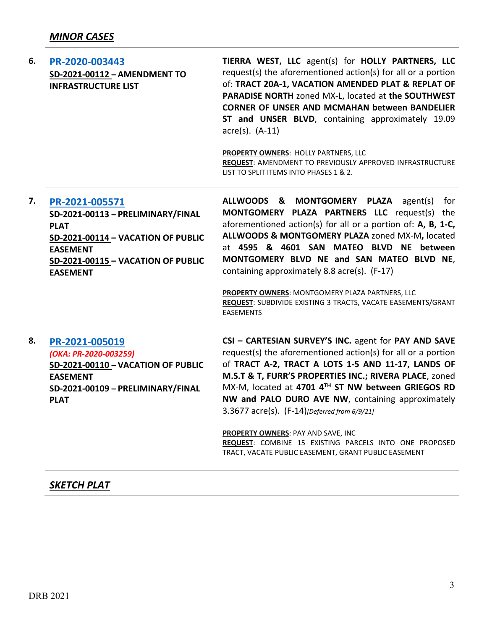| 6. | PR-2020-003443<br>SD-2021-00112 - AMENDMENT TO<br><b>INFRASTRUCTURE LIST</b>                                                                                                         | TIERRA WEST, LLC agent(s) for HOLLY PARTNERS, LLC<br>request(s) the aforementioned action(s) for all or a portion<br>of: TRACT 20A-1, VACATION AMENDED PLAT & REPLAT OF<br>PARADISE NORTH zoned MX-L, located at the SOUTHWEST<br><b>CORNER OF UNSER AND MCMAHAN between BANDELIER</b><br>ST and UNSER BLVD, containing approximately 19.09<br>$\arccos(5)$ . $(A-11)$<br>PROPERTY OWNERS: HOLLY PARTNERS, LLC<br>REQUEST: AMENDMENT TO PREVIOUSLY APPROVED INFRASTRUCTURE<br>LIST TO SPLIT ITEMS INTO PHASES 1 & 2.                                           |
|----|--------------------------------------------------------------------------------------------------------------------------------------------------------------------------------------|----------------------------------------------------------------------------------------------------------------------------------------------------------------------------------------------------------------------------------------------------------------------------------------------------------------------------------------------------------------------------------------------------------------------------------------------------------------------------------------------------------------------------------------------------------------|
| 7. | PR-2021-005571<br>SD-2021-00113 - PRELIMINARY/FINAL<br><b>PLAT</b><br>SD-2021-00114 - VACATION OF PUBLIC<br><b>EASEMENT</b><br>SD-2021-00115 - VACATION OF PUBLIC<br><b>EASEMENT</b> | ALLWOODS & MONTGOMERY PLAZA agent(s)<br>for<br>MONTGOMERY PLAZA PARTNERS LLC request(s) the<br>aforementioned action(s) for all or a portion of: $A$ , $B$ , $1-C$ ,<br>ALLWOODS & MONTGOMERY PLAZA zoned MX-M, located<br>at 4595 & 4601 SAN MATEO BLVD NE between<br>MONTGOMERY BLVD NE and SAN MATEO BLVD NE,<br>containing approximately 8.8 acre(s). (F-17)<br>PROPERTY OWNERS: MONTGOMERY PLAZA PARTNERS, LLC<br>REQUEST: SUBDIVIDE EXISTING 3 TRACTS, VACATE EASEMENTS/GRANT<br><b>EASEMENTS</b>                                                        |
| 8. | PR-2021-005019<br>(OKA: PR-2020-003259)<br>SD-2021-00110 - VACATION OF PUBLIC<br><b>EASEMENT</b><br>SD-2021-00109 - PRELIMINARY/FINAL<br><b>PLAT</b>                                 | CSI - CARTESIAN SURVEY'S INC. agent for PAY AND SAVE<br>request(s) the aforementioned action(s) for all or a portion<br>of TRACT A-2, TRACT A LOTS 1-5 AND 11-17, LANDS OF<br>M.S.T & T, FURR'S PROPERTIES INC.; RIVERA PLACE, zoned<br>MX-M, located at 4701 4TH ST NW between GRIEGOS RD<br>NW and PALO DURO AVE NW, containing approximately<br>3.3677 acre(s). (F-14)[Deferred from 6/9/21]<br><b>PROPERTY OWNERS: PAY AND SAVE, INC</b><br>REQUEST: COMBINE 15 EXISTING PARCELS INTO ONE PROPOSED<br>TRACT, VACATE PUBLIC EASEMENT, GRANT PUBLIC EASEMENT |

# *SKETCH PLAT*